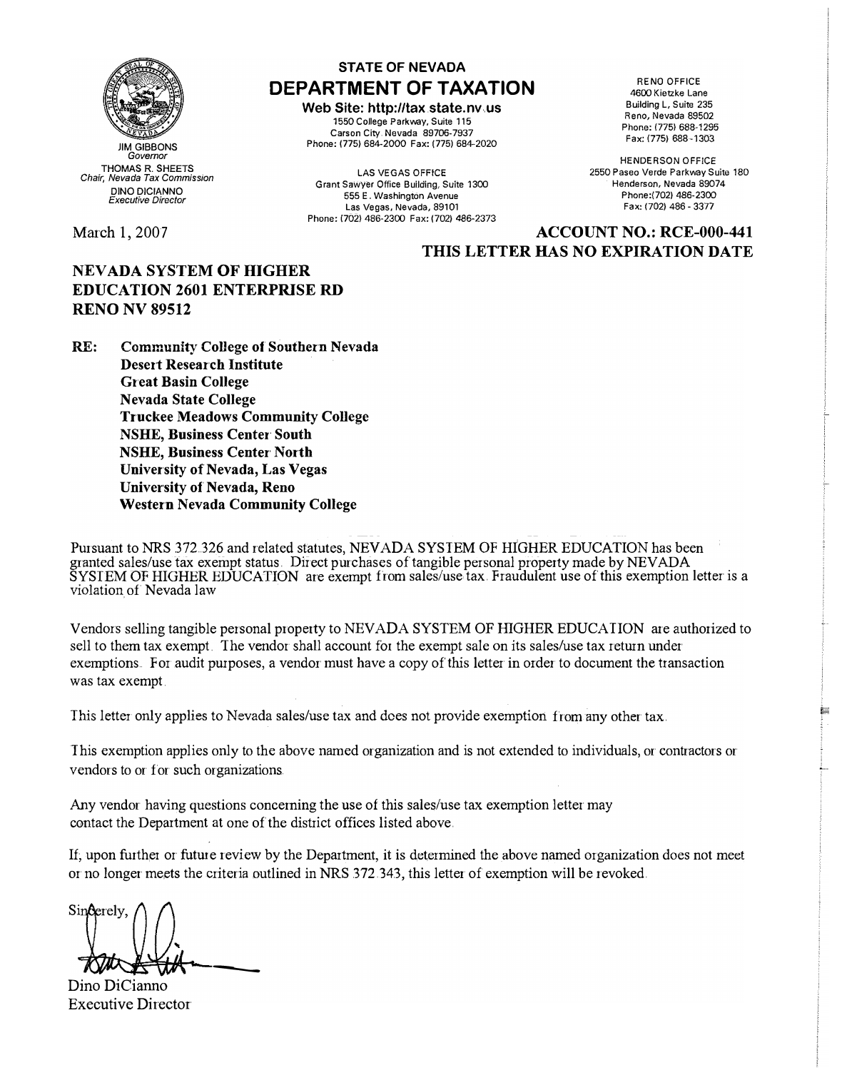

*Governor* THOMAS R. SHEETS *Chair, Nevada Tax Commission*  DINO DICIANNO *Executive Director* 

March 1, 2007

## **STATE OF NEVADA DEPARTMENT OF TAXATION**

**Web Site: <http://tax.state.nv.us>** 1550 College Parkway, Suite 115 Carson City. Nevada 89706-7937 Phone: (775) 684-2000 Fax: (775) 684-2020 JIM GIBBONS

> LAS VEGAS OFFICE Grant Sawyer Office Building, Suite 1300 555 E. Washington Avenue Las Vegas, Nevada, 89101 Phone: (702} 486-2300 Fax: (702) 486-2373

RENO OFFICE 4600 Kietzke Lane Building L, Suite 235 Reno, Nevada 89502 Phone: (775} 688-1295 Fax: (775) 688 -1303

HENDERSON OFFICE 2550 Paseo Verde Parkway Suite 180 Henderson, Nevada 89074 Phone:{702) 486-2300 Fax: (702) 486 - 3377

营

#### **ACCOUNT NO.: RCE-000-441 THIS LETTER HAS NO EXPIRATION DATE**

### **NEVADA SYSTEM OF HIGHER EDUCATION 2601 ENTERPRISE RD RENO NV 89512**

**RE: Community College of Southern Nevada Desert Research Institute Great Basin College Nevada State College Truckee Meadows Community College NSHE, Business Center South NSHE, Business Center North University of Nevada, Las Vegas University of Nevada, Reno Western Nevada Community College** 

Pursuant to NRS 372.326 and related statutes, NEVADA SYSTEM OF HIGHER EDUCATION has been granted sales/use tax exempt status. Direct purchases of tangible personal property made by NEVADA SYSIEM OF HIGHER EDUCATION are exempt from sales/use tax. Fraudulent use of this exemption letter is a violation of Nevada law

Vendo<sup>r</sup> s selling tangible personal property to NEVADA SYSTEM OF HIGHER EDUCATION are authorized to sell to them tax exempt. The vendor shall account for the exempt sale on its sales/use tax return under exemptions. For audit purposes, a vendor must have a copy of this letter in order to document the transaction was tax exempt

This letter only applies to Nevada sales/use tax and does not provide exemption from any other tax.

This exemption applies only to the above named organization and is not extended to individuals, or contractors or vendors to or for such organizations.

Any vendor having questions concerning the use of this sales/use tax exemption letter may contact the Department at one of the district offices listed above.

If, upon further or futue review by the Department, it is determined the above named organization does not meet or no longer meets the criteria outlined in NRS 372 343, this letter of exemption will be revoked.

Sinderely,

r

Dino DiCianno Executive Director